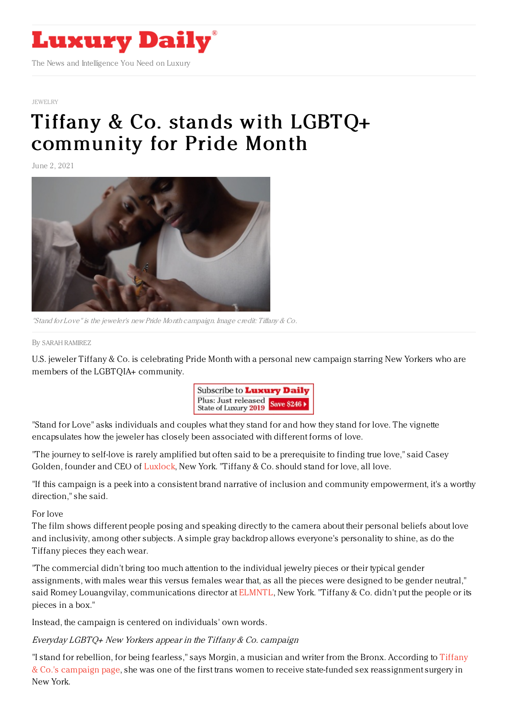

#### [JEWELRY](https://www.luxurydaily.com/category/sectors/jewelry/)

# Tiffany & Co. stands with LGBTQ+ [community](https://www.luxurydaily.com/?p=330279) for Pride Month

June 2, 2021



"Stand for Love" is the jeweler's new Pride Month campaign. Image credit: Tiffany & Co.

#### By SARAH [RAMIREZ](file:///author/sarah-ramirez)

U.S. jeweler Tiffany & Co. is celebrating Pride Month with a personal new campaign starring New Yorkers who are members of the LGBTQIA+ community.



"Stand for Love" asks individuals and couples what they stand for and how they stand for love. The vignette encapsulates how the jeweler has closely been associated with different forms of love.

"The journey to self-love is rarely amplified but often said to be a prerequisite to finding true love," said Casey Golden, founder and CEO of [Luxlock,](https://luxlock.com/) New York. "Tiffany & Co. should stand for love, all love.

"If this campaign is a peek into a consistent brand narrative of inclusion and community empowerment, it's a worthy direction," she said.

For love

The film shows different people posing and speaking directly to the camera about their personal beliefs about love and inclusivity, among other subjects. A simple gray backdrop allows everyone's personality to shine, as do the Tiffany pieces they each wear.

"The commercial didn't bring too much attention to the individual jewelry pieces or their typical gender assignments, with males wear this versus females wear that, as all the pieces were designed to be gender neutral," said Romey Louangvilay, communications director at [ELMNTL](https://elmntl.co/), New York. "Tiffany & Co. didn't put the people or its pieces in a box."

Instead, the campaign is centered on individuals' own words.

### Everyday LGBTQ+ New Yorkers appear in the Tiffany & Co. campaign

"I stand for rebellion, for being fearless," says Morgin, a musician and writer from the Bronx. According to Tiffany & Co.'s campaign page, she was one of the first trans women to receive state-funded sex [reassignment](https://www.tiffany.com/sustainability/community/pride-month/) surgery in New York.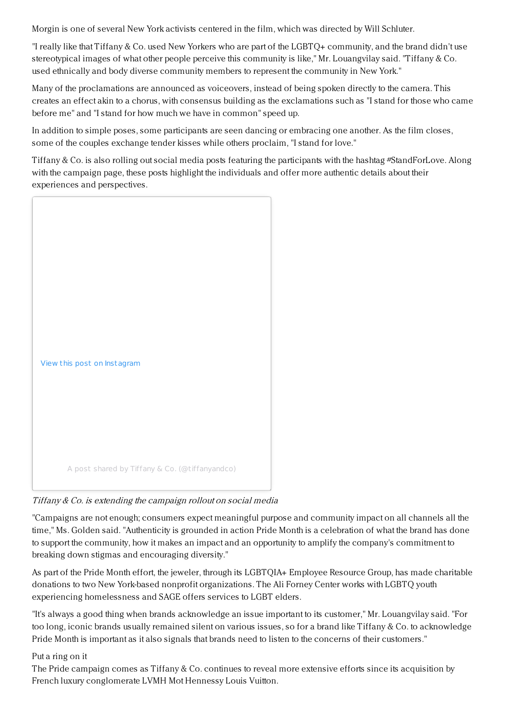Morgin is one of several New York activists centered in the film, which was directed by Will Schluter.

"I really like that Tiffany & Co. used New Yorkers who are part of the LGBTQ+ community, and the brand didn't use stereotypical images of what other people perceive this community is like," Mr. Louangvilay said. "Tiffany & Co. used ethnically and body diverse community members to represent the community in New York."

Many of the proclamations are announced as voiceovers, instead of being spoken directly to the camera. This creates an effect akin to a chorus, with consensus building as the exclamations such as "I stand for those who came before me" and "I stand for how much we have in common" speed up.

In addition to simple poses, some participants are seen dancing or embracing one another. As the film closes, some of the couples exchange tender kisses while others proclaim, "I stand for love."

Tiffany & Co. is also rolling out social media posts featuring the participants with the hashtag #StandForLove. Along with the campaign page, these posts highlight the individuals and offer more authentic details about their experiences and perspectives.



Tiffany & Co. is extending the campaign rollout on social media

"Campaigns are not enough; consumers expect meaningful purpose and community impact on all channels all the time," Ms. Golden said. "Authenticity is grounded in action Pride Month is a celebration of what the brand has done to support the community, how it makes an impact and an opportunity to amplify the company's commitment to breaking down stigmas and encouraging diversity."

As part of the Pride Month effort, the jeweler, through its LGBTQIA+ Employee Resource Group, has made charitable donations to two New York-based nonprofit organizations. The Ali Forney Center works with LGBTQ youth experiencing homelessness and SAGE offers services to LGBT elders.

"It's always a good thing when brands acknowledge an issue important to its customer," Mr. Louangvilay said. "For too long, iconic brands usually remained silent on various issues, so for a brand like Tiffany & Co. to acknowledge Pride Month is important as it also signals that brands need to listen to the concerns of their customers."

## Put a ring on it

The Pride campaign comes as Tiffany & Co. continues to reveal more extensive efforts since its acquisition by French luxury conglomerate LVMH Mot Hennessy Louis Vuitton.